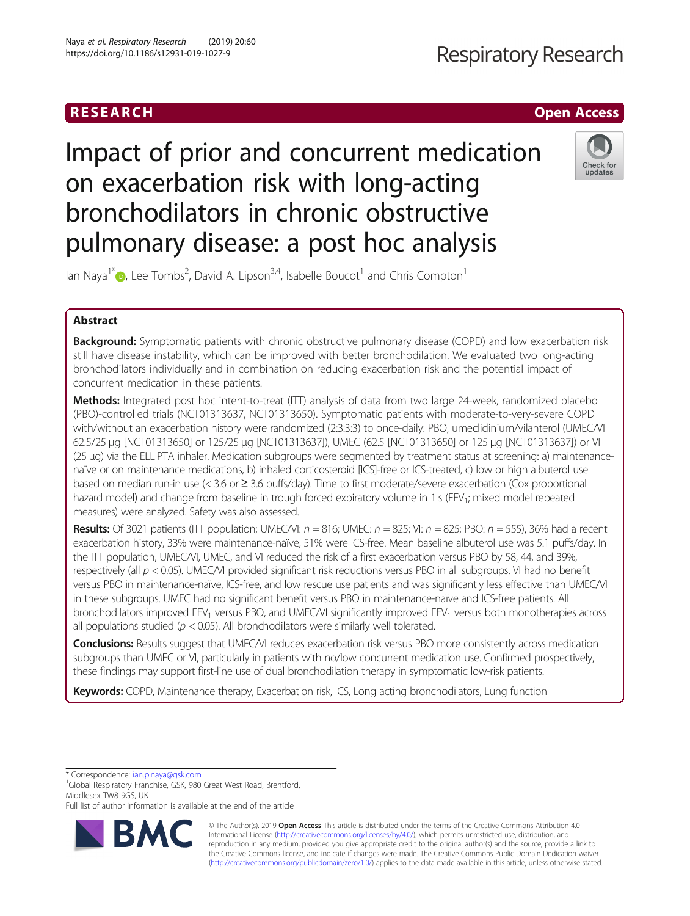# RESEARCH **RESEARCH CHOOSE ACCESS**

# **Respiratory Research**

# Impact of prior and concurrent medication on exacerbation risk with long-acting bronchodilators in chronic obstructive pulmonary disease: a post hoc analysis



Ian Naya<sup>1\*</sup>  $\bullet$ , Lee Tombs<sup>2</sup>, David A. Lipson<sup>3,4</sup>, Isabelle Boucot<sup>1</sup> and Chris Compton<sup>1</sup>

# Abstract

Background: Symptomatic patients with chronic obstructive pulmonary disease (COPD) and low exacerbation risk still have disease instability, which can be improved with better bronchodilation. We evaluated two long-acting bronchodilators individually and in combination on reducing exacerbation risk and the potential impact of concurrent medication in these patients.

Methods: Integrated post hoc intent-to-treat (ITT) analysis of data from two large 24-week, randomized placebo (PBO)-controlled trials (NCT01313637, NCT01313650). Symptomatic patients with moderate-to-very-severe COPD with/without an exacerbation history were randomized (2:3:3:3) to once-daily: PBO, umeclidinium/vilanterol (UMEC/VI 62.5/25 μg [NCT01313650] or 125/25 μg [NCT01313637]), UMEC (62.5 [NCT01313650] or 125 μg [NCT01313637]) or VI (25 μg) via the ELLIPTA inhaler. Medication subgroups were segmented by treatment status at screening: a) maintenancenaïve or on maintenance medications, b) inhaled corticosteroid [ICS]-free or ICS-treated, c) low or high albuterol use based on median run-in use (< 3.6 or ≥ 3.6 puffs/day). Time to first moderate/severe exacerbation (Cox proportional hazard model) and change from baseline in trough forced expiratory volume in 1 s (FEV<sub>1</sub>; mixed model repeated measures) were analyzed. Safety was also assessed.

Results: Of 3021 patients (ITT population; UMEC/VI:  $n = 816$ ; UMEC:  $n = 825$ ; VI:  $n = 825$ ; PBO:  $n = 555$ ), 36% had a recent exacerbation history, 33% were maintenance-naïve, 51% were ICS-free. Mean baseline albuterol use was 5.1 puffs/day. In the ITT population, UMEC/VI, UMEC, and VI reduced the risk of a first exacerbation versus PBO by 58, 44, and 39%, respectively (all  $p < 0.05$ ). UMEC/VI provided significant risk reductions versus PBO in all subgroups. VI had no benefit versus PBO in maintenance-naïve, ICS-free, and low rescue use patients and was significantly less effective than UMEC/VI in these subgroups. UMEC had no significant benefit versus PBO in maintenance-naïve and ICS-free patients. All bronchodilators improved FEV<sub>1</sub> versus PBO, and UMEC/VI significantly improved FEV<sub>1</sub> versus both monotherapies across all populations studied ( $p < 0.05$ ). All bronchodilators were similarly well tolerated.

Conclusions: Results suggest that UMEC/VI reduces exacerbation risk versus PBO more consistently across medication subgroups than UMEC or VI, particularly in patients with no/low concurrent medication use. Confirmed prospectively, these findings may support first-line use of dual bronchodilation therapy in symptomatic low-risk patients.

Keywords: COPD, Maintenance therapy, Exacerbation risk, ICS, Long acting bronchodilators, Lung function

\* Correspondence: [ian.p.naya@gsk.com](mailto:ian.p.naya@gsk.com) <sup>1</sup>

<sup>1</sup>Global Respiratory Franchise, GSK, 980 Great West Road, Brentford, Middlesex TW8 9GS, UK

Full list of author information is available at the end of the article



© The Author(s). 2019 **Open Access** This article is distributed under the terms of the Creative Commons Attribution 4.0 International License [\(http://creativecommons.org/licenses/by/4.0/](http://creativecommons.org/licenses/by/4.0/)), which permits unrestricted use, distribution, and reproduction in any medium, provided you give appropriate credit to the original author(s) and the source, provide a link to the Creative Commons license, and indicate if changes were made. The Creative Commons Public Domain Dedication waiver [\(http://creativecommons.org/publicdomain/zero/1.0/](http://creativecommons.org/publicdomain/zero/1.0/)) applies to the data made available in this article, unless otherwise stated.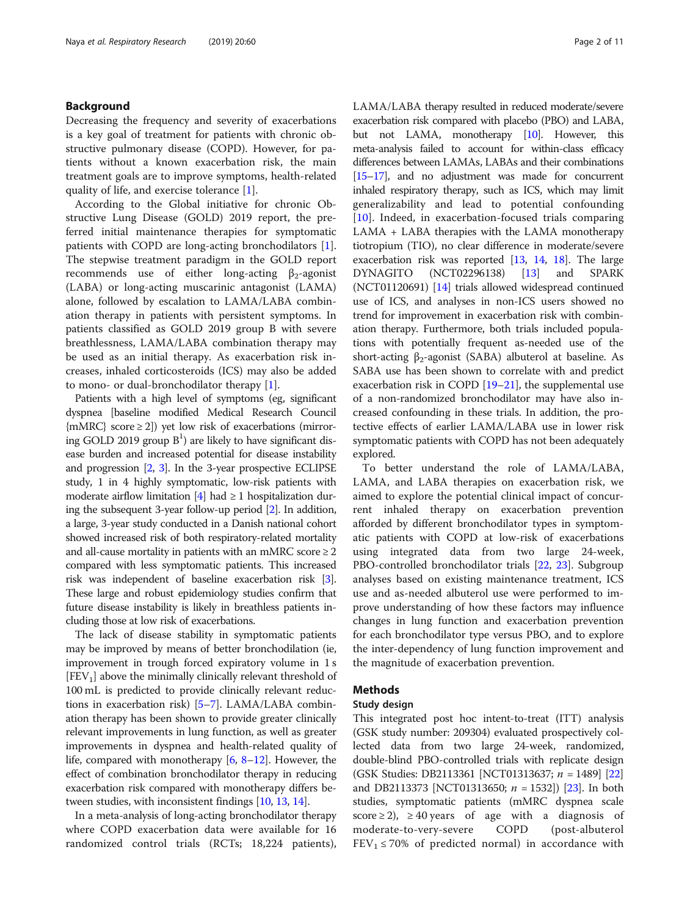# Background

Decreasing the frequency and severity of exacerbations is a key goal of treatment for patients with chronic obstructive pulmonary disease (COPD). However, for patients without a known exacerbation risk, the main treatment goals are to improve symptoms, health-related quality of life, and exercise tolerance [[1](#page-10-0)].

According to the Global initiative for chronic Obstructive Lung Disease (GOLD) 2019 report, the preferred initial maintenance therapies for symptomatic patients with COPD are long-acting bronchodilators [\[1](#page-10-0)]. The stepwise treatment paradigm in the GOLD report recommends use of either long-acting  $\beta_2$ -agonist (LABA) or long-acting muscarinic antagonist (LAMA) alone, followed by escalation to LAMA/LABA combination therapy in patients with persistent symptoms. In patients classified as GOLD 2019 group B with severe breathlessness, LAMA/LABA combination therapy may be used as an initial therapy. As exacerbation risk increases, inhaled corticosteroids (ICS) may also be added to mono- or dual-bronchodilator therapy [[1](#page-10-0)].

Patients with a high level of symptoms (eg, significant dyspnea [baseline modified Medical Research Council  ${mMRC}$  score  $\geq$  2) yet low risk of exacerbations (mirroring GOLD 2019 group  $B<sup>1</sup>$ ) are likely to have significant disease burden and increased potential for disease instability and progression [\[2,](#page-10-0) [3\]](#page-10-0). In the 3-year prospective ECLIPSE study, 1 in 4 highly symptomatic, low-risk patients with moderate airflow limitation  $[4]$  $[4]$  had  $\geq 1$  hospitalization during the subsequent 3-year follow-up period [\[2](#page-10-0)]. In addition, a large, 3-year study conducted in a Danish national cohort showed increased risk of both respiratory-related mortality and all-cause mortality in patients with an mMRC score  $\geq 2$ compared with less symptomatic patients. This increased risk was independent of baseline exacerbation risk [[3](#page-10-0)]. These large and robust epidemiology studies confirm that future disease instability is likely in breathless patients including those at low risk of exacerbations.

The lack of disease stability in symptomatic patients may be improved by means of better bronchodilation (ie, improvement in trough forced expiratory volume in 1 s  $[FEV<sub>1</sub>]$  above the minimally clinically relevant threshold of 100 mL is predicted to provide clinically relevant reductions in exacerbation risk) [\[5](#page-10-0)–[7](#page-10-0)]. LAMA/LABA combination therapy has been shown to provide greater clinically relevant improvements in lung function, as well as greater improvements in dyspnea and health-related quality of life, compared with monotherapy [\[6,](#page-10-0) [8](#page-10-0)–[12\]](#page-10-0). However, the effect of combination bronchodilator therapy in reducing exacerbation risk compared with monotherapy differs between studies, with inconsistent findings [\[10,](#page-10-0) [13](#page-10-0), [14](#page-10-0)].

In a meta-analysis of long-acting bronchodilator therapy where COPD exacerbation data were available for 16 randomized control trials (RCTs; 18,224 patients), LAMA/LABA therapy resulted in reduced moderate/severe exacerbation risk compared with placebo (PBO) and LABA, but not LAMA, monotherapy [\[10](#page-10-0)]. However, this meta-analysis failed to account for within-class efficacy differences between LAMAs, LABAs and their combinations [[15](#page-10-0)–[17\]](#page-10-0), and no adjustment was made for concurrent inhaled respiratory therapy, such as ICS, which may limit generalizability and lead to potential confounding [[10\]](#page-10-0). Indeed, in exacerbation-focused trials comparing LAMA + LABA therapies with the LAMA monotherapy tiotropium (TIO), no clear difference in moderate/severe exacerbation risk was reported  $[13, 14, 18]$  $[13, 14, 18]$  $[13, 14, 18]$  $[13, 14, 18]$  $[13, 14, 18]$  $[13, 14, 18]$  $[13, 14, 18]$ . The large DYNAGITO (NCT02296138) [\[13](#page-10-0)] and SPARK (NCT01120691) [[14](#page-10-0)] trials allowed widespread continued use of ICS, and analyses in non-ICS users showed no trend for improvement in exacerbation risk with combination therapy. Furthermore, both trials included populations with potentially frequent as-needed use of the short-acting  $\beta_2$ -agonist (SABA) albuterol at baseline. As SABA use has been shown to correlate with and predict exacerbation risk in COPD [[19](#page-10-0)–[21\]](#page-10-0), the supplemental use of a non-randomized bronchodilator may have also increased confounding in these trials. In addition, the protective effects of earlier LAMA/LABA use in lower risk symptomatic patients with COPD has not been adequately explored.

To better understand the role of LAMA/LABA, LAMA, and LABA therapies on exacerbation risk, we aimed to explore the potential clinical impact of concurrent inhaled therapy on exacerbation prevention afforded by different bronchodilator types in symptomatic patients with COPD at low-risk of exacerbations using integrated data from two large 24-week, PBO-controlled bronchodilator trials [\[22](#page-10-0), [23\]](#page-10-0). Subgroup analyses based on existing maintenance treatment, ICS use and as-needed albuterol use were performed to improve understanding of how these factors may influence changes in lung function and exacerbation prevention for each bronchodilator type versus PBO, and to explore the inter-dependency of lung function improvement and the magnitude of exacerbation prevention.

# Methods

# Study design

This integrated post hoc intent-to-treat (ITT) analysis (GSK study number: 209304) evaluated prospectively collected data from two large 24-week, randomized, double-blind PBO-controlled trials with replicate design (GSK Studies: DB2113361 [NCT01313637; n = 1489] [[22](#page-10-0)] and DB2113373 [NCT01313650;  $n = 1532$ ]) [[23](#page-10-0)]. In both studies, symptomatic patients (mMRC dyspnea scale score  $\geq$  2),  $\geq$  40 years of age with a diagnosis of moderate-to-very-severe COPD (post-albuterol  $FEV<sub>1</sub> \le 70\%$  of predicted normal) in accordance with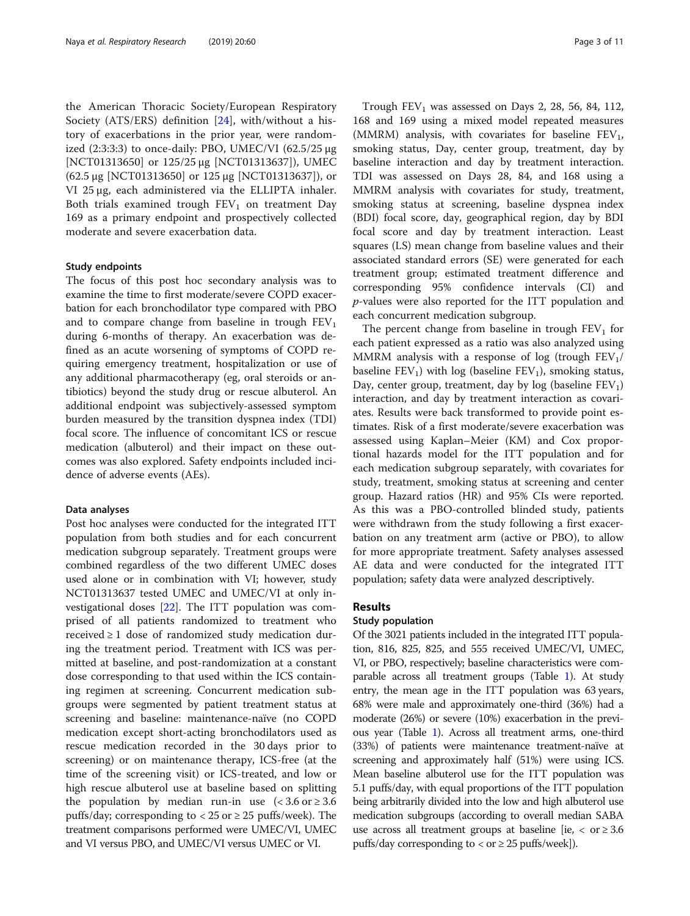the American Thoracic Society/European Respiratory Society (ATS/ERS) definition [[24\]](#page-10-0), with/without a history of exacerbations in the prior year, were randomized  $(2:3:3:3)$  to once-daily: PBO, UMEC/VI  $(62.5/25 \mu g)$ [NCT01313650] or 125/25 μg [NCT01313637]), UMEC (62.5 μg [NCT01313650] or 125 μg [NCT01313637]), or VI 25 μg, each administered via the ELLIPTA inhaler. Both trials examined trough  $FEV<sub>1</sub>$  on treatment Day 169 as a primary endpoint and prospectively collected moderate and severe exacerbation data.

### Study endpoints

The focus of this post hoc secondary analysis was to examine the time to first moderate/severe COPD exacerbation for each bronchodilator type compared with PBO and to compare change from baseline in trough  $FEV<sub>1</sub>$ during 6-months of therapy. An exacerbation was defined as an acute worsening of symptoms of COPD requiring emergency treatment, hospitalization or use of any additional pharmacotherapy (eg, oral steroids or antibiotics) beyond the study drug or rescue albuterol. An additional endpoint was subjectively-assessed symptom burden measured by the transition dyspnea index (TDI) focal score. The influence of concomitant ICS or rescue medication (albuterol) and their impact on these outcomes was also explored. Safety endpoints included incidence of adverse events (AEs).

#### Data analyses

Post hoc analyses were conducted for the integrated ITT population from both studies and for each concurrent medication subgroup separately. Treatment groups were combined regardless of the two different UMEC doses used alone or in combination with VI; however, study NCT01313637 tested UMEC and UMEC/VI at only investigational doses [\[22](#page-10-0)]. The ITT population was comprised of all patients randomized to treatment who received ≥ 1 dose of randomized study medication during the treatment period. Treatment with ICS was permitted at baseline, and post-randomization at a constant dose corresponding to that used within the ICS containing regimen at screening. Concurrent medication subgroups were segmented by patient treatment status at screening and baseline: maintenance-naïve (no COPD medication except short-acting bronchodilators used as rescue medication recorded in the 30 days prior to screening) or on maintenance therapy, ICS-free (at the time of the screening visit) or ICS-treated, and low or high rescue albuterol use at baseline based on splitting the population by median run-in use  $\approx 3.6$  or  $\geq 3.6$ puffs/day; corresponding to  $<$  25 or  $\geq$  25 puffs/week). The treatment comparisons performed were UMEC/VI, UMEC and VI versus PBO, and UMEC/VI versus UMEC or VI.

Trough  $FEV<sub>1</sub>$  was assessed on Days 2, 28, 56, 84, 112, 168 and 169 using a mixed model repeated measures (MMRM) analysis, with covariates for baseline  $FEV<sub>1</sub>$ , smoking status, Day, center group, treatment, day by baseline interaction and day by treatment interaction. TDI was assessed on Days 28, 84, and 168 using a MMRM analysis with covariates for study, treatment, smoking status at screening, baseline dyspnea index (BDI) focal score, day, geographical region, day by BDI focal score and day by treatment interaction. Least squares (LS) mean change from baseline values and their associated standard errors (SE) were generated for each treatment group; estimated treatment difference and corresponding 95% confidence intervals (CI) and p-values were also reported for the ITT population and each concurrent medication subgroup.

The percent change from baseline in trough  $FEV<sub>1</sub>$  for each patient expressed as a ratio was also analyzed using MMRM analysis with a response of log (trough  $FEV<sub>1</sub>/$ baseline  $FEV_1$ ) with log (baseline  $FEV_1$ ), smoking status, Day, center group, treatment, day by log (baseline  $FEV<sub>1</sub>$ ) interaction, and day by treatment interaction as covariates. Results were back transformed to provide point estimates. Risk of a first moderate/severe exacerbation was assessed using Kaplan–Meier (KM) and Cox proportional hazards model for the ITT population and for each medication subgroup separately, with covariates for study, treatment, smoking status at screening and center group. Hazard ratios (HR) and 95% CIs were reported. As this was a PBO-controlled blinded study, patients were withdrawn from the study following a first exacerbation on any treatment arm (active or PBO), to allow for more appropriate treatment. Safety analyses assessed AE data and were conducted for the integrated ITT population; safety data were analyzed descriptively.

# Results

# Study population

Of the 3021 patients included in the integrated ITT population, 816, 825, 825, and 555 received UMEC/VI, UMEC, VI, or PBO, respectively; baseline characteristics were comparable across all treatment groups (Table [1\)](#page-3-0). At study entry, the mean age in the ITT population was 63 years, 68% were male and approximately one-third (36%) had a moderate (26%) or severe (10%) exacerbation in the previous year (Table [1\)](#page-3-0). Across all treatment arms, one-third (33%) of patients were maintenance treatment-naïve at screening and approximately half (51%) were using ICS. Mean baseline albuterol use for the ITT population was 5.1 puffs/day, with equal proportions of the ITT population being arbitrarily divided into the low and high albuterol use medication subgroups (according to overall median SABA use across all treatment groups at baseline [ie,  $\langle$  or  $\geq 3.6$ ] puffs/day corresponding to  $<$  or  $\geq$  25 puffs/week]).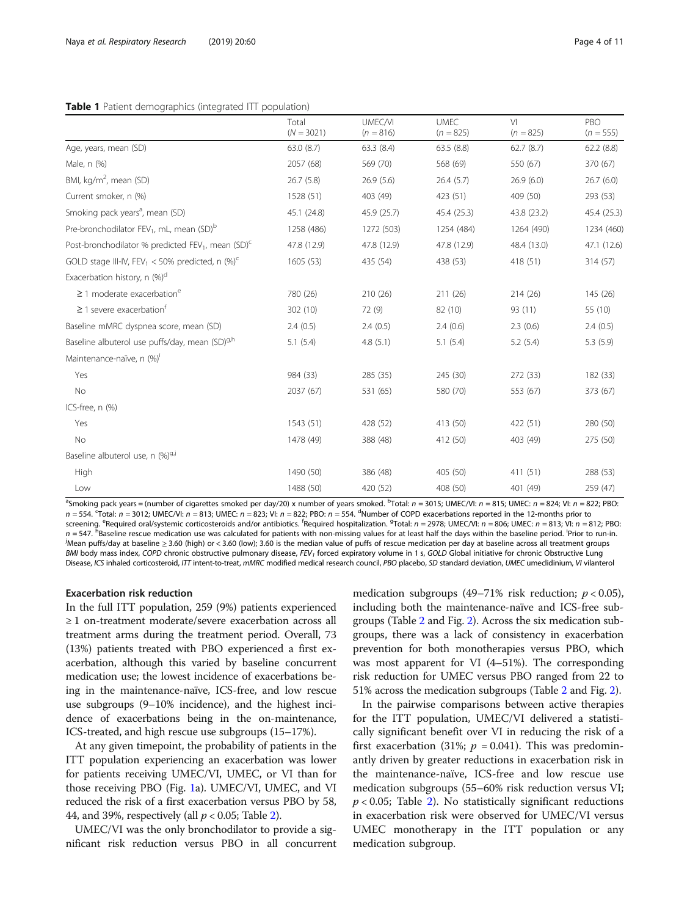### <span id="page-3-0"></span>Table 1 Patient demographics (integrated ITT population)

|                                                                           | Total<br>$(N = 3021)$ | <b>UMEC/VI</b><br>$(n = 816)$ | <b>UMEC</b><br>$(n = 825)$ | V <sub>l</sub><br>$(n = 825)$ | PBO<br>$(n = 555)$ |
|---------------------------------------------------------------------------|-----------------------|-------------------------------|----------------------------|-------------------------------|--------------------|
| Age, years, mean (SD)                                                     | 63.0 (8.7)            | 63.3 (8.4)                    | 63.5(8.8)                  | 62.7(8.7)                     | 62.2(8.8)          |
| Male, n (%)                                                               | 2057 (68)             | 569 (70)                      | 568 (69)                   | 550 (67)                      | 370 (67)           |
| BMI, $kg/m^2$ , mean (SD)                                                 | 26.7(5.8)             | 26.9(5.6)                     | 26.4(5.7)                  | 26.9(6.0)                     | 26.7(6.0)          |
| Current smoker, n (%)                                                     | 1528 (51)             | 403 (49)                      | 423 (51)                   | 409 (50)                      | 293 (53)           |
| Smoking pack years <sup>a</sup> , mean (SD)                               | 45.1 (24.8)           | 45.9 (25.7)                   | 45.4 (25.3)                | 43.8 (23.2)                   | 45.4 (25.3)        |
| Pre-bronchodilator FEV <sub>1</sub> , mL, mean (SD) <sup>b</sup>          | 1258 (486)            | 1272 (503)                    | 1254 (484)                 | 1264 (490)                    | 1234 (460)         |
| Post-bronchodilator % predicted FEV <sub>1</sub> , mean (SD) <sup>c</sup> | 47.8 (12.9)           | 47.8 (12.9)                   | 47.8 (12.9)                | 48.4 (13.0)                   | 47.1 (12.6)        |
| GOLD stage III-IV, FEV <sub>1</sub> < 50% predicted, n $(\%)^c$           | 1605(53)              | 435 (54)                      | 438 (53)                   | 418 (51)                      | 314 (57)           |
| Exacerbation history, n (%) <sup>d</sup>                                  |                       |                               |                            |                               |                    |
| $\geq$ 1 moderate exacerbation <sup>e</sup>                               | 780 (26)              | 210 (26)                      | 211 (26)                   | 214 (26)                      | 145 (26)           |
| $\geq$ 1 severe exacerbation <sup>†</sup>                                 | 302 (10)              | 72 (9)                        | 82 (10)                    | 93 (11)                       | 55 (10)            |
| Baseline mMRC dyspnea score, mean (SD)                                    | 2.4(0.5)              | 2.4(0.5)                      | 2.4(0.6)                   | 2.3(0.6)                      | 2.4(0.5)           |
| Baseline albuterol use puffs/day, mean (SD) <sup>9,h</sup>                | 5.1(5.4)              | 4.8(5.1)                      | 5.1(5.4)                   | 5.2(5.4)                      | 5.3(5.9)           |
| Maintenance-naïve, n (%)'                                                 |                       |                               |                            |                               |                    |
| Yes                                                                       | 984 (33)              | 285 (35)                      | 245 (30)                   | 272 (33)                      | 182 (33)           |
| No                                                                        | 2037 (67)             | 531 (65)                      | 580 (70)                   | 553 (67)                      | 373 (67)           |
| ICS-free, n (%)                                                           |                       |                               |                            |                               |                    |
| Yes                                                                       | 1543 (51)             | 428 (52)                      | 413 (50)                   | 422 (51)                      | 280 (50)           |
| No                                                                        | 1478 (49)             | 388 (48)                      | 412 (50)                   | 403 (49)                      | 275 (50)           |
| Baseline albuterol use, n (%) <sup>g,j</sup>                              |                       |                               |                            |                               |                    |
| High                                                                      | 1490 (50)             | 386 (48)                      | 405 (50)                   | 411 (51)                      | 288 (53)           |
| Low                                                                       | 1488 (50)             | 420 (52)                      | 408 (50)                   | 401 (49)                      | 259 (47)           |

<sup>a</sup>Smoking pack years = (number of cigarettes smoked per day/20) x number of years smoked. <sup>b</sup>Total: n = 3015; UMEC/VI: n = 815; UMEC: n = 824; VI: n = 822; PBO:  $n = 554$ . Total:  $n = 3012$ ; UMEC/VI:  $n = 813$ ; UMEC:  $n = 823$ ; VI:  $n = 822$ ; PBO:  $n = 554$ . <sup>d</sup>Number of COPD exacerbations reported in the 12-months prior to screening. <sup>e</sup>Required oral/systemic corticosteroids and/or antibiotics. <sup>f</sup>Required hospitalization. <sup>9</sup>Total: n = 2978; UMEC/VI: n = 806; UMEC: n = 813; VI: n = 812; PBO:  $n = 547$ . <sup>h</sup>Baseline rescue medication use was calculated for patients with non-missing values for at least half the days within the baseline period. Prior to run-in.<br>Mean puffe/day at baseline > 3.60 (high) or < 3.60 (l Mean puffs/day at baseline ≥ 3.60 (high) or < 3.60 (low); 3.60 is the median value of puffs of rescue medication per day at baseline across all treatment groups BMI body mass index, COPD chronic obstructive pulmonary disease, FEV<sub>1</sub> forced expiratory volume in 1 s, GOLD Global initiative for chronic Obstructive Lung Disease, ICS inhaled corticosteroid, ITT intent-to-treat, mMRC modified medical research council, PBO placebo, SD standard deviation, UMEC umeclidinium, VI vilanterol

# Exacerbation risk reduction

In the full ITT population, 259 (9%) patients experienced ≥ 1 on-treatment moderate/severe exacerbation across all treatment arms during the treatment period. Overall, 73 (13%) patients treated with PBO experienced a first exacerbation, although this varied by baseline concurrent medication use; the lowest incidence of exacerbations being in the maintenance-naïve, ICS-free, and low rescue use subgroups (9–10% incidence), and the highest incidence of exacerbations being in the on-maintenance, ICS-treated, and high rescue use subgroups (15–17%).

At any given timepoint, the probability of patients in the ITT population experiencing an exacerbation was lower for patients receiving UMEC/VI, UMEC, or VI than for those receiving PBO (Fig. [1a](#page-4-0)). UMEC/VI, UMEC, and VI reduced the risk of a first exacerbation versus PBO by 58, 44, and 39%, respectively (all  $p < 0.05$ ; Table [2](#page-5-0)).

UMEC/VI was the only bronchodilator to provide a significant risk reduction versus PBO in all concurrent

medication subgroups (49–71% risk reduction;  $p < 0.05$ ), including both the maintenance-naïve and ICS-free subgroups (Table [2](#page-5-0) and Fig. [2](#page-6-0)). Across the six medication subgroups, there was a lack of consistency in exacerbation prevention for both monotherapies versus PBO, which was most apparent for VI (4–51%). The corresponding risk reduction for UMEC versus PBO ranged from 22 to 51% across the medication subgroups (Table [2](#page-5-0) and Fig. [2](#page-6-0)).

In the pairwise comparisons between active therapies for the ITT population, UMEC/VI delivered a statistically significant benefit over VI in reducing the risk of a first exacerbation (31%;  $p = 0.041$ ). This was predominantly driven by greater reductions in exacerbation risk in the maintenance-naïve, ICS-free and low rescue use medication subgroups (55–60% risk reduction versus VI;  $p < 0.05$ ; Table [2\)](#page-5-0). No statistically significant reductions in exacerbation risk were observed for UMEC/VI versus UMEC monotherapy in the ITT population or any medication subgroup.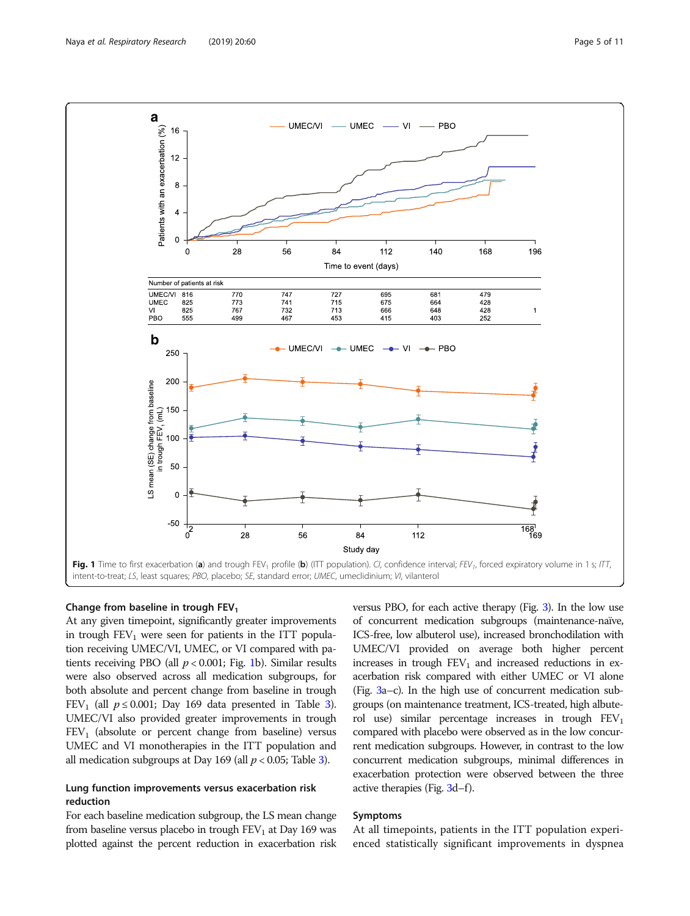<span id="page-4-0"></span>

# Change from baseline in trough  $FEV<sub>1</sub>$

At any given timepoint, significantly greater improvements in trough  $FEV_1$  were seen for patients in the ITT population receiving UMEC/VI, UMEC, or VI compared with patients receiving PBO (all  $p < 0.001$ ; Fig. 1b). Similar results were also observed across all medication subgroups, for both absolute and percent change from baseline in trough FEV<sub>1</sub> (all  $p \le 0.001$ ; Day 169 data presented in Table [3](#page-7-0)). UMEC/VI also provided greater improvements in trough  $FEV<sub>1</sub>$  (absolute or percent change from baseline) versus UMEC and VI monotherapies in the ITT population and all medication subgroups at Day 169 (all  $p < 0.05$ ; Table [3\)](#page-7-0).

# Lung function improvements versus exacerbation risk reduction

For each baseline medication subgroup, the LS mean change from baseline versus placebo in trough  $FEV<sub>1</sub>$  at Day 169 was plotted against the percent reduction in exacerbation risk versus PBO, for each active therapy (Fig. [3\)](#page-8-0). In the low use of concurrent medication subgroups (maintenance-naïve, ICS-free, low albuterol use), increased bronchodilation with UMEC/VI provided on average both higher percent increases in trough  $FEV<sub>1</sub>$  and increased reductions in exacerbation risk compared with either UMEC or VI alone (Fig. [3a](#page-8-0)–c). In the high use of concurrent medication subgroups (on maintenance treatment, ICS-treated, high albuterol use) similar percentage increases in trough  $FEV<sub>1</sub>$ compared with placebo were observed as in the low concurrent medication subgroups. However, in contrast to the low concurrent medication subgroups, minimal differences in exacerbation protection were observed between the three active therapies (Fig. [3](#page-8-0)d–f).

# Symptoms

At all timepoints, patients in the ITT population experienced statistically significant improvements in dyspnea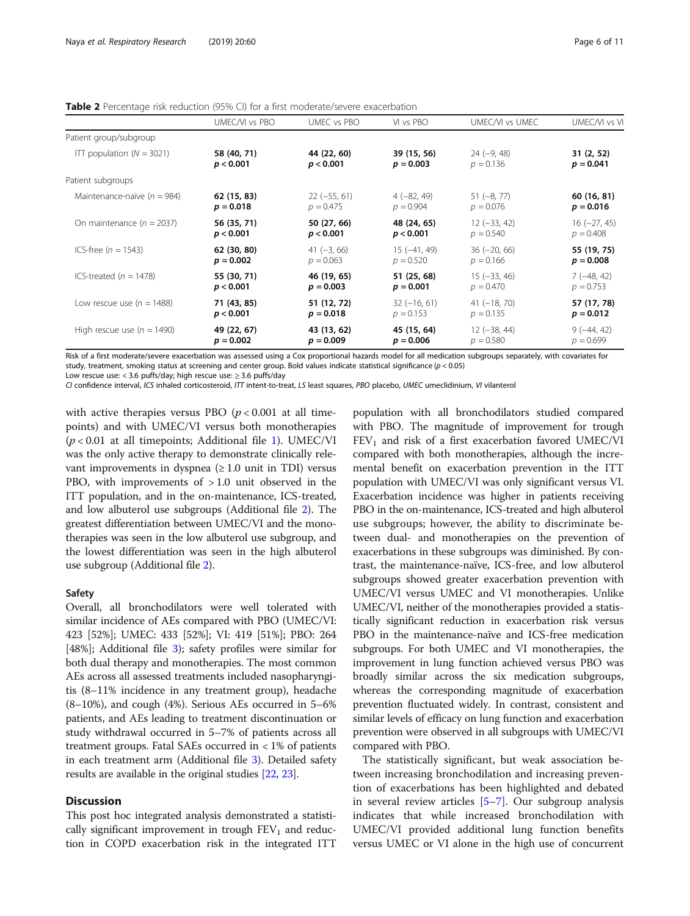|                                 | UMEC/VI vs PBO | UMEC vs PBO    | VI vs PBO     | UMEC/VI vs UMEC | UMEC/VI vs V   |
|---------------------------------|----------------|----------------|---------------|-----------------|----------------|
| Patient group/subgroup          |                |                |               |                 |                |
| ITT population $(N = 3021)$     | 58 (40, 71)    | 44 (22, 60)    | 39 (15, 56)   | $24 (-9, 48)$   | 31(2, 52)      |
|                                 | p < 0.001      | p < 0.001      | $p = 0.003$   | $p = 0.136$     | $p = 0.041$    |
| Patient subgroups               |                |                |               |                 |                |
| Maintenance-naïve ( $n = 984$ ) | 62 (15, 83)    | $22 (-55, 61)$ | $4(-82, 49)$  | $51 (-8, 77)$   | 60 (16, 81)    |
|                                 | $p = 0.018$    | $p = 0.475$    | $p = 0.904$   | $p = 0.076$     | $p = 0.016$    |
| On maintenance ( $n = 2037$ )   | 56 (35, 71)    | 50 (27, 66)    | 48 (24, 65)   | $12 (-33, 42)$  | $16 (-27, 45)$ |
|                                 | p < 0.001      | p < 0.001      | p < 0.001     | $p = 0.540$     | $p = 0.408$    |
| ICS-free ( $n = 1543$ )         | 62 (30, 80)    | $41 (-3, 66)$  | $15(-41, 49)$ | $36 (-20, 66)$  | 55 (19, 75)    |
|                                 | $p = 0.002$    | $p = 0.063$    | $p = 0.520$   | $p = 0.166$     | $p = 0.008$    |
| ICS-treated ( $n = 1478$ )      | 55 (30, 71)    | 46 (19, 65)    | 51 (25, 68)   | $15 (-33, 46)$  | $7(-48, 42)$   |
|                                 | p < 0.001      | $p = 0.003$    | $p = 0.001$   | $p = 0.470$     | $p = 0.753$    |
| Low rescue use ( $n = 1488$ )   | 71 (43, 85)    | 51 (12, 72)    | $32(-16, 61)$ | $41 (-18, 70)$  | 57 (17, 78)    |
|                                 | p < 0.001      | $p = 0.018$    | $p = 0.153$   | $p = 0.135$     | $p = 0.012$    |
| High rescue use ( $n = 1490$ )  | 49 (22, 67)    | 43 (13, 62)    | 45 (15, 64)   | $12 (-38, 44)$  | $9(-44, 42)$   |
|                                 | $p = 0.002$    | $p = 0.009$    | $p = 0.006$   | $p = 0.580$     | $p = 0.699$    |

<span id="page-5-0"></span>Table 2 Percentage risk reduction (95% CI) for a first moderate/severe exacerbation

Risk of a first moderate/severe exacerbation was assessed using a Cox proportional hazards model for all medication subgroups separately, with covariates for study, treatment, smoking status at screening and center group. Bold values indicate statistical significance ( $p < 0.05$ )

Low rescue use: < 3.6 puffs/day; high rescue use:  $\geq$  3.6 puffs/day

CI confidence interval, ICS inhaled corticosteroid, ITT intent-to-treat, LS least squares, PBO placebo, UMEC umeclidinium, VI vilanterol

with active therapies versus PBO  $(p < 0.001$  at all timepoints) and with UMEC/VI versus both monotherapies  $(p < 0.01$  $(p < 0.01$  at all timepoints; Additional file 1). UMEC/VI was the only active therapy to demonstrate clinically relevant improvements in dyspnea  $(\geq 1.0 \text{ unit in TDI})$  versus PBO, with improvements of  $>1.0$  unit observed in the ITT population, and in the on-maintenance, ICS-treated, and low albuterol use subgroups (Additional file [2](#page-9-0)). The greatest differentiation between UMEC/VI and the monotherapies was seen in the low albuterol use subgroup, and the lowest differentiation was seen in the high albuterol use subgroup (Additional file [2](#page-9-0)).

# Safety

Overall, all bronchodilators were well tolerated with similar incidence of AEs compared with PBO (UMEC/VI: 423 [52%]; UMEC: 433 [52%]; VI: 419 [51%]; PBO: 264 [48%]; Additional file [3\)](#page-9-0); safety profiles were similar for both dual therapy and monotherapies. The most common AEs across all assessed treatments included nasopharyngitis (8–11% incidence in any treatment group), headache (8–10%), and cough (4%). Serious AEs occurred in 5–6% patients, and AEs leading to treatment discontinuation or study withdrawal occurred in 5–7% of patients across all treatment groups. Fatal SAEs occurred in  $<$  1% of patients in each treatment arm (Additional file [3](#page-9-0)). Detailed safety results are available in the original studies [[22,](#page-10-0) [23\]](#page-10-0).

# **Discussion**

This post hoc integrated analysis demonstrated a statistically significant improvement in trough  $FEV<sub>1</sub>$  and reduction in COPD exacerbation risk in the integrated ITT

population with all bronchodilators studied compared with PBO. The magnitude of improvement for trough  $FEV<sub>1</sub>$  and risk of a first exacerbation favored UMEC/VI compared with both monotherapies, although the incremental benefit on exacerbation prevention in the ITT population with UMEC/VI was only significant versus VI. Exacerbation incidence was higher in patients receiving PBO in the on-maintenance, ICS-treated and high albuterol use subgroups; however, the ability to discriminate between dual- and monotherapies on the prevention of exacerbations in these subgroups was diminished. By contrast, the maintenance-naïve, ICS-free, and low albuterol subgroups showed greater exacerbation prevention with UMEC/VI versus UMEC and VI monotherapies. Unlike UMEC/VI, neither of the monotherapies provided a statistically significant reduction in exacerbation risk versus PBO in the maintenance-naïve and ICS-free medication subgroups. For both UMEC and VI monotherapies, the improvement in lung function achieved versus PBO was broadly similar across the six medication subgroups, whereas the corresponding magnitude of exacerbation prevention fluctuated widely. In contrast, consistent and similar levels of efficacy on lung function and exacerbation prevention were observed in all subgroups with UMEC/VI compared with PBO.

The statistically significant, but weak association between increasing bronchodilation and increasing prevention of exacerbations has been highlighted and debated in several review articles  $[5-7]$  $[5-7]$  $[5-7]$  $[5-7]$ . Our subgroup analysis indicates that while increased bronchodilation with UMEC/VI provided additional lung function benefits versus UMEC or VI alone in the high use of concurrent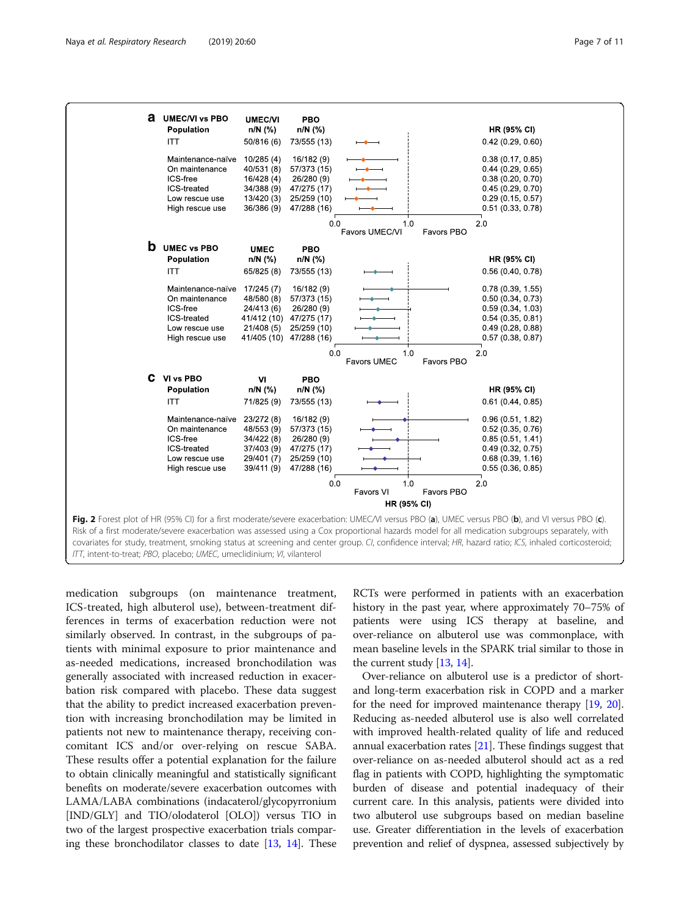<span id="page-6-0"></span>

medication subgroups (on maintenance treatment, ICS-treated, high albuterol use), between-treatment differences in terms of exacerbation reduction were not similarly observed. In contrast, in the subgroups of patients with minimal exposure to prior maintenance and as-needed medications, increased bronchodilation was generally associated with increased reduction in exacerbation risk compared with placebo. These data suggest that the ability to predict increased exacerbation prevention with increasing bronchodilation may be limited in patients not new to maintenance therapy, receiving concomitant ICS and/or over-relying on rescue SABA. These results offer a potential explanation for the failure to obtain clinically meaningful and statistically significant benefits on moderate/severe exacerbation outcomes with LAMA/LABA combinations (indacaterol/glycopyrronium [IND/GLY] and TIO/olodaterol [OLO]) versus TIO in two of the largest prospective exacerbation trials comparing these bronchodilator classes to date  $[13, 14]$  $[13, 14]$  $[13, 14]$ . These RCTs were performed in patients with an exacerbation history in the past year, where approximately 70–75% of patients were using ICS therapy at baseline, and over-reliance on albuterol use was commonplace, with mean baseline levels in the SPARK trial similar to those in the current study [\[13](#page-10-0), [14](#page-10-0)].

Over-reliance on albuterol use is a predictor of shortand long-term exacerbation risk in COPD and a marker for the need for improved maintenance therapy [\[19,](#page-10-0) [20](#page-10-0)]. Reducing as-needed albuterol use is also well correlated with improved health-related quality of life and reduced annual exacerbation rates [\[21](#page-10-0)]. These findings suggest that over-reliance on as-needed albuterol should act as a red flag in patients with COPD, highlighting the symptomatic burden of disease and potential inadequacy of their current care. In this analysis, patients were divided into two albuterol use subgroups based on median baseline use. Greater differentiation in the levels of exacerbation prevention and relief of dyspnea, assessed subjectively by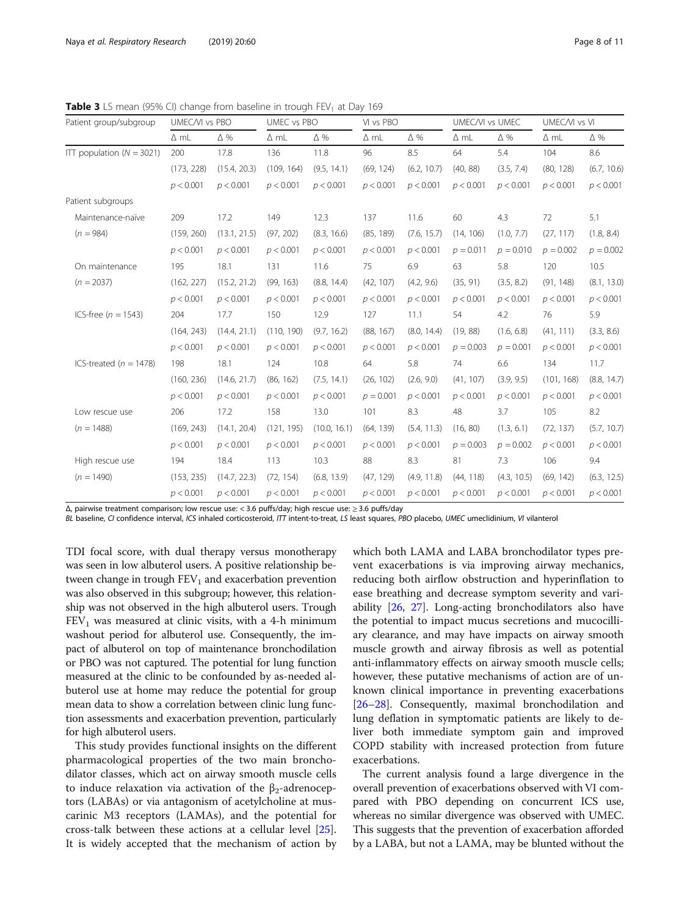| Patient group/subgroup        | UMEC/VI vs PBO |              | UMEC vs PBO |              | VI vs PBO   |             | UMEC/VI vs UMEC |             | UMEC/VI vs VI |             |
|-------------------------------|----------------|--------------|-------------|--------------|-------------|-------------|-----------------|-------------|---------------|-------------|
|                               | $\Delta$ mL    | $\Delta$ %   | $\Delta$ mL | $\Delta$ %   | $\Delta$ mL | $\Delta$ %  | $\Delta$ mL     | $\Delta$ %  | $\Delta$ mL   | $\Delta\%$  |
| ITT population ( $N = 3021$ ) | 200            | 17.8         | 136         | 11.8         | 96          | 8.5         | 64              | 5.4         | 104           | 8.6         |
|                               | (173, 228)     | (15.4, 20.3) | (109, 164)  | (9.5, 14.1)  | (69, 124)   | (6.2, 10.7) | (40, 88)        | (3.5, 7.4)  | (80, 128)     | (6.7, 10.6) |
|                               | p < 0.001      | p < 0.001    | p < 0.001   | p < 0.001    | p < 0.001   | p < 0.001   | p < 0.001       | p < 0.001   | p < 0.001     | p < 0.001   |
| Patient subgroups             |                |              |             |              |             |             |                 |             |               |             |
| Maintenance-naïve             | 209            | 17.2         | 149         | 12.3         | 137         | 11.6        | 60              | 4.3         | 72            | 5.1         |
| $(n = 984)$                   | (159, 260)     | (13.1, 21.5) | (97, 202)   | (8.3, 16.6)  | (85, 189)   | (7.6, 15.7) | (14, 106)       | (1.0, 7.7)  | (27, 117)     | (1.8, 8.4)  |
|                               | p < 0.001      | p < 0.001    | p < 0.001   | p < 0.001    | p < 0.001   | p < 0.001   | $p = 0.011$     | $p = 0.010$ | $p = 0.002$   | $p = 0.002$ |
| On maintenance                | 195            | 18.1         | 131         | 11.6         | 75          | 6.9         | 63              | 5.8         | 120           | 10.5        |
| $(n = 2037)$                  | (162, 227)     | (15.2, 21.2) | (99, 163)   | (8.8, 14.4)  | (42, 107)   | (4.2, 9.6)  | (35, 91)        | (3.5, 8.2)  | (91, 148)     | (8.1, 13.0) |
|                               | p < 0.001      | p < 0.001    | p < 0.001   | p < 0.001    | p < 0.001   | p < 0.001   | p < 0.001       | p < 0.001   | p < 0.001     | p < 0.001   |
| ICS-free ( $n = 1543$ )       | 204            | 17.7         | 150         | 12.9         | 127         | 11.1        | 54              | 4.2         | 76            | 5.9         |
|                               | (164, 243)     | (14.4, 21.1) | (110, 190)  | (9.7, 16.2)  | (88, 167)   | (8.0, 14.4) | (19, 88)        | (1.6, 6.8)  | (41, 111)     | (3.3, 8.6)  |
|                               | p < 0.001      | p < 0.001    | p < 0.001   | p < 0.001    | p < 0.001   | p < 0.001   | $p = 0.003$     | $p = 0.001$ | p < 0.001     | p < 0.001   |
| ICS-treated ( $n = 1478$ )    | 198            | 18.1         | 124         | 10.8         | 64          | 5.8         | 74              | 6.6         | 134           | 11.7        |
|                               | (160, 236)     | (14.6, 21.7) | (86, 162)   | (7.5, 14.1)  | (26, 102)   | (2.6, 9.0)  | (41, 107)       | (3.9, 9.5)  | (101, 168)    | (8.8, 14.7) |
|                               | p < 0.001      | p < 0.001    | p < 0.001   | p < 0.001    | $p = 0.001$ | p < 0.001   | p < 0.001       | p < 0.001   | p < 0.001     | p < 0.001   |
| Low rescue use                | 206            | 17.2         | 158         | 13.0         | 101         | 8.3         | 48              | 3.7         | 105           | 8.2         |
| $(n = 1488)$                  | (169, 243)     | (14.1, 20.4) | (121, 195)  | (10.0, 16.1) | (64, 139)   | (5.4, 11.3) | (16, 80)        | (1.3, 6.1)  | (72, 137)     | (5.7, 10.7) |
|                               | p < 0.001      | p < 0.001    | p < 0.001   | p < 0.001    | p < 0.001   | p < 0.001   | $p = 0.003$     | $p = 0.002$ | p < 0.001     | p < 0.001   |
| High rescue use               | 194            | 18.4         | 113         | 10.3         | 88          | 8.3         | 81              | 7.3         | 106           | 9.4         |
| $(n = 1490)$                  | (153, 235)     | (14.7, 22.3) | (72, 154)   | (6.8, 13.9)  | (47, 129)   | (4.9, 11.8) | (44, 118)       | (4.3, 10.5) | (69, 142)     | (6.3, 12.5) |
|                               | p < 0.001      | p < 0.001    | p < 0.001   | p < 0.001    | p < 0.001   | p < 0.001   | p < 0.001       | p < 0.001   | p < 0.001     | p < 0.001   |

<span id="page-7-0"></span>**Table 3** LS mean (95% CI) change from baseline in trough  $FEV_1$  at Day 169

Δ, pairwise treatment comparison; low rescue use: < 3.6 puffs/day; high rescue use: ≥ 3.6 puffs/day

BL baseline, CI confidence interval, ICS inhaled corticosteroid, ITT intent-to-treat, LS least squares, PBO placebo, UMEC umeclidinium, VI vilanterol

TDI focal score, with dual therapy versus monotherapy was seen in low albuterol users. A positive relationship between change in trough  $FEV<sub>1</sub>$  and exacerbation prevention was also observed in this subgroup; however, this relationship was not observed in the high albuterol users. Trough  $FEV<sub>1</sub>$  was measured at clinic visits, with a 4-h minimum washout period for albuterol use. Consequently, the impact of albuterol on top of maintenance bronchodilation or PBO was not captured. The potential for lung function measured at the clinic to be confounded by as-needed albuterol use at home may reduce the potential for group mean data to show a correlation between clinic lung function assessments and exacerbation prevention, particularly for high albuterol users.

This study provides functional insights on the different pharmacological properties of the two main bronchodilator classes, which act on airway smooth muscle cells to induce relaxation via activation of the  $β_2$ -adrenoceptors (LABAs) or via antagonism of acetylcholine at muscarinic M3 receptors (LAMAs), and the potential for cross-talk between these actions at a cellular level [\[25](#page-10-0)]. It is widely accepted that the mechanism of action by which both LAMA and LABA bronchodilator types prevent exacerbations is via improving airway mechanics, reducing both airflow obstruction and hyperinflation to ease breathing and decrease symptom severity and variability [[26,](#page-10-0) [27\]](#page-10-0). Long-acting bronchodilators also have the potential to impact mucus secretions and mucocilliary clearance, and may have impacts on airway smooth muscle growth and airway fibrosis as well as potential anti-inflammatory effects on airway smooth muscle cells; however, these putative mechanisms of action are of unknown clinical importance in preventing exacerbations [[26](#page-10-0)–[28](#page-10-0)]. Consequently, maximal bronchodilation and lung deflation in symptomatic patients are likely to deliver both immediate symptom gain and improved COPD stability with increased protection from future exacerbations.

The current analysis found a large divergence in the overall prevention of exacerbations observed with VI compared with PBO depending on concurrent ICS use, whereas no similar divergence was observed with UMEC. This suggests that the prevention of exacerbation afforded by a LABA, but not a LAMA, may be blunted without the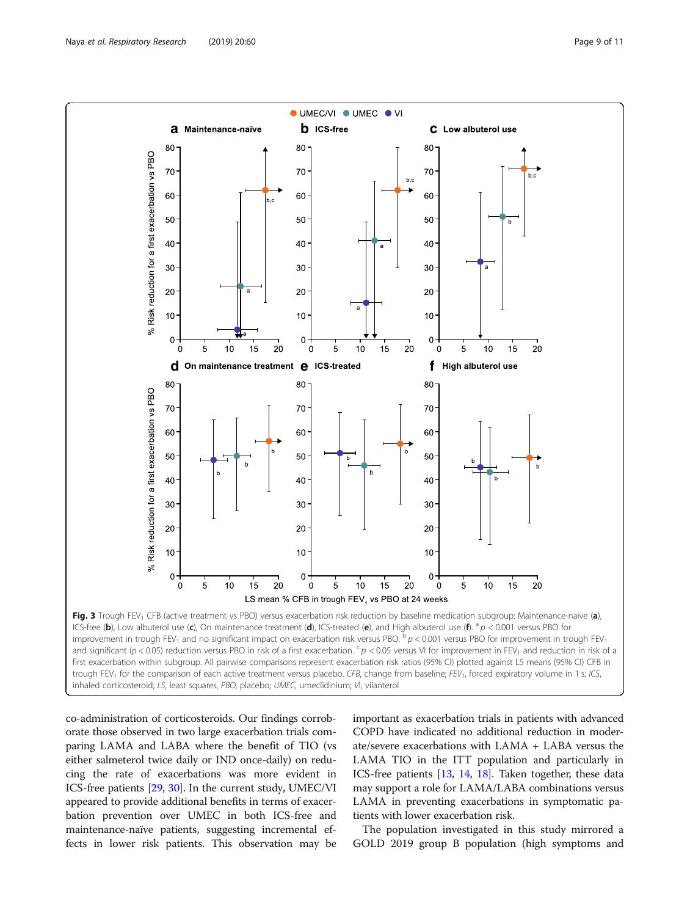<span id="page-8-0"></span>

co-administration of corticosteroids. Our findings corroborate those observed in two large exacerbation trials comparing LAMA and LABA where the benefit of TIO (vs either salmeterol twice daily or IND once-daily) on reducing the rate of exacerbations was more evident in ICS-free patients [[29](#page-10-0), [30\]](#page-10-0). In the current study, UMEC/VI appeared to provide additional benefits in terms of exacerbation prevention over UMEC in both ICS-free and maintenance-naïve patients, suggesting incremental effects in lower risk patients. This observation may be important as exacerbation trials in patients with advanced COPD have indicated no additional reduction in moderate/severe exacerbations with LAMA + LABA versus the LAMA TIO in the ITT population and particularly in ICS-free patients [[13](#page-10-0), [14,](#page-10-0) [18](#page-10-0)]. Taken together, these data may support a role for LAMA/LABA combinations versus LAMA in preventing exacerbations in symptomatic patients with lower exacerbation risk.

The population investigated in this study mirrored a GOLD 2019 group B population (high symptoms and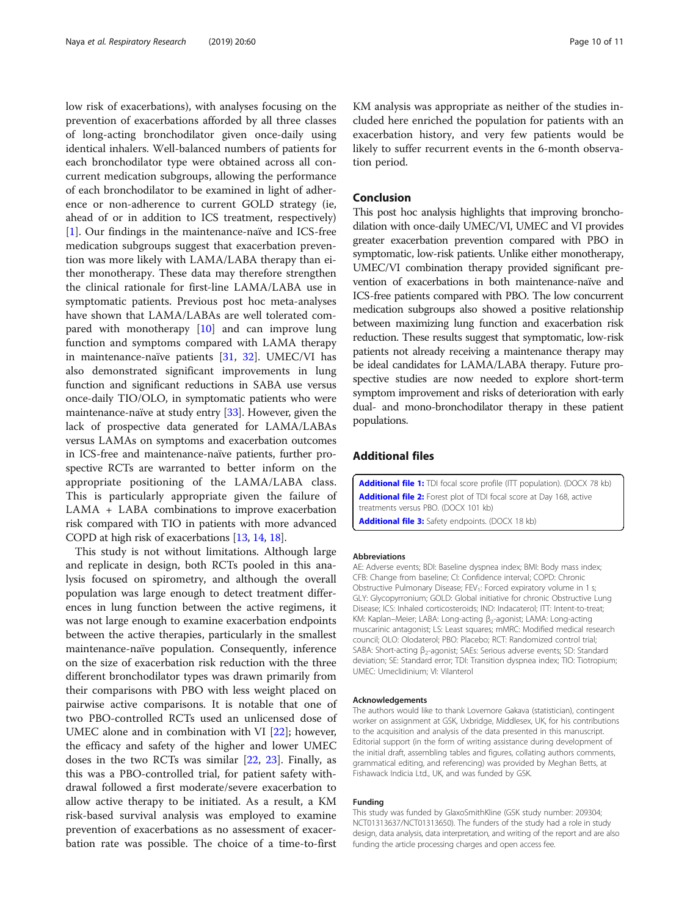<span id="page-9-0"></span>low risk of exacerbations), with analyses focusing on the prevention of exacerbations afforded by all three classes of long-acting bronchodilator given once-daily using identical inhalers. Well-balanced numbers of patients for each bronchodilator type were obtained across all concurrent medication subgroups, allowing the performance of each bronchodilator to be examined in light of adherence or non-adherence to current GOLD strategy (ie, ahead of or in addition to ICS treatment, respectively) [[1\]](#page-10-0). Our findings in the maintenance-naïve and ICS-free medication subgroups suggest that exacerbation prevention was more likely with LAMA/LABA therapy than either monotherapy. These data may therefore strengthen the clinical rationale for first-line LAMA/LABA use in symptomatic patients. Previous post hoc meta-analyses have shown that LAMA/LABAs are well tolerated compared with monotherapy  $[10]$  $[10]$  and can improve lung function and symptoms compared with LAMA therapy in maintenance-naïve patients [\[31](#page-10-0), [32](#page-10-0)]. UMEC/VI has also demonstrated significant improvements in lung function and significant reductions in SABA use versus once-daily TIO/OLO, in symptomatic patients who were maintenance-naïve at study entry [\[33\]](#page-10-0). However, given the lack of prospective data generated for LAMA/LABAs versus LAMAs on symptoms and exacerbation outcomes in ICS-free and maintenance-naïve patients, further prospective RCTs are warranted to better inform on the appropriate positioning of the LAMA/LABA class. This is particularly appropriate given the failure of LAMA + LABA combinations to improve exacerbation risk compared with TIO in patients with more advanced COPD at high risk of exacerbations [\[13,](#page-10-0) [14](#page-10-0), [18](#page-10-0)].

This study is not without limitations. Although large and replicate in design, both RCTs pooled in this analysis focused on spirometry, and although the overall population was large enough to detect treatment differences in lung function between the active regimens, it was not large enough to examine exacerbation endpoints between the active therapies, particularly in the smallest maintenance-naïve population. Consequently, inference on the size of exacerbation risk reduction with the three different bronchodilator types was drawn primarily from their comparisons with PBO with less weight placed on pairwise active comparisons. It is notable that one of two PBO-controlled RCTs used an unlicensed dose of UMEC alone and in combination with VI [\[22\]](#page-10-0); however, the efficacy and safety of the higher and lower UMEC doses in the two RCTs was similar [\[22](#page-10-0), [23](#page-10-0)]. Finally, as this was a PBO-controlled trial, for patient safety withdrawal followed a first moderate/severe exacerbation to allow active therapy to be initiated. As a result, a KM risk-based survival analysis was employed to examine prevention of exacerbations as no assessment of exacerbation rate was possible. The choice of a time-to-first

KM analysis was appropriate as neither of the studies included here enriched the population for patients with an exacerbation history, and very few patients would be likely to suffer recurrent events in the 6-month observation period.

# Conclusion

This post hoc analysis highlights that improving bronchodilation with once-daily UMEC/VI, UMEC and VI provides greater exacerbation prevention compared with PBO in symptomatic, low-risk patients. Unlike either monotherapy, UMEC/VI combination therapy provided significant prevention of exacerbations in both maintenance-naïve and ICS-free patients compared with PBO. The low concurrent medication subgroups also showed a positive relationship between maximizing lung function and exacerbation risk reduction. These results suggest that symptomatic, low-risk patients not already receiving a maintenance therapy may be ideal candidates for LAMA/LABA therapy. Future prospective studies are now needed to explore short-term symptom improvement and risks of deterioration with early dual- and mono-bronchodilator therapy in these patient populations.

# Additional files

[Additional file 1:](https://doi.org/10.1186/s12931-019-1027-9) TDI focal score profile (ITT population). (DOCX 78 kb) [Additional file 2:](https://doi.org/10.1186/s12931-019-1027-9) Forest plot of TDI focal score at Day 168, active treatments versus PBO. (DOCX 101 kb) [Additional file 3:](https://doi.org/10.1186/s12931-019-1027-9) Safety endpoints. (DOCX 18 kb)

#### Abbreviations

AE: Adverse events; BDI: Baseline dyspnea index; BMI: Body mass index; CFB: Change from baseline; CI: Confidence interval; COPD: Chronic Obstructive Pulmonary Disease; FEV<sub>1</sub>: Forced expiratory volume in 1 s; GLY: Glycopyrronium; GOLD: Global initiative for chronic Obstructive Lung Disease; ICS: Inhaled corticosteroids; IND: Indacaterol; ITT: Intent-to-treat; KM: Kaplan–Meier; LABA: Long-acting β<sub>2</sub>-agonist; LAMA: Long-acting muscarinic antagonist; LS: Least squares; mMRC: Modified medical research council; OLO: Olodaterol; PBO: Placebo; RCT: Randomized control trial; SABA: Short-acting β<sub>2</sub>-agonist; SAEs: Serious adverse events; SD: Standard deviation; SE: Standard error; TDI: Transition dyspnea index; TIO: Tiotropium; UMEC: Umeclidinium; VI: Vilanterol

#### Acknowledgements

The authors would like to thank Lovemore Gakava (statistician), contingent worker on assignment at GSK, Uxbridge, Middlesex, UK, for his contributions to the acquisition and analysis of the data presented in this manuscript. Editorial support (in the form of writing assistance during development of the initial draft, assembling tables and figures, collating authors comments, grammatical editing, and referencing) was provided by Meghan Betts, at Fishawack Indicia Ltd., UK, and was funded by GSK.

#### Funding

This study was funded by GlaxoSmithKline (GSK study number: 209304; NCT01313637/NCT01313650). The funders of the study had a role in study design, data analysis, data interpretation, and writing of the report and are also funding the article processing charges and open access fee.